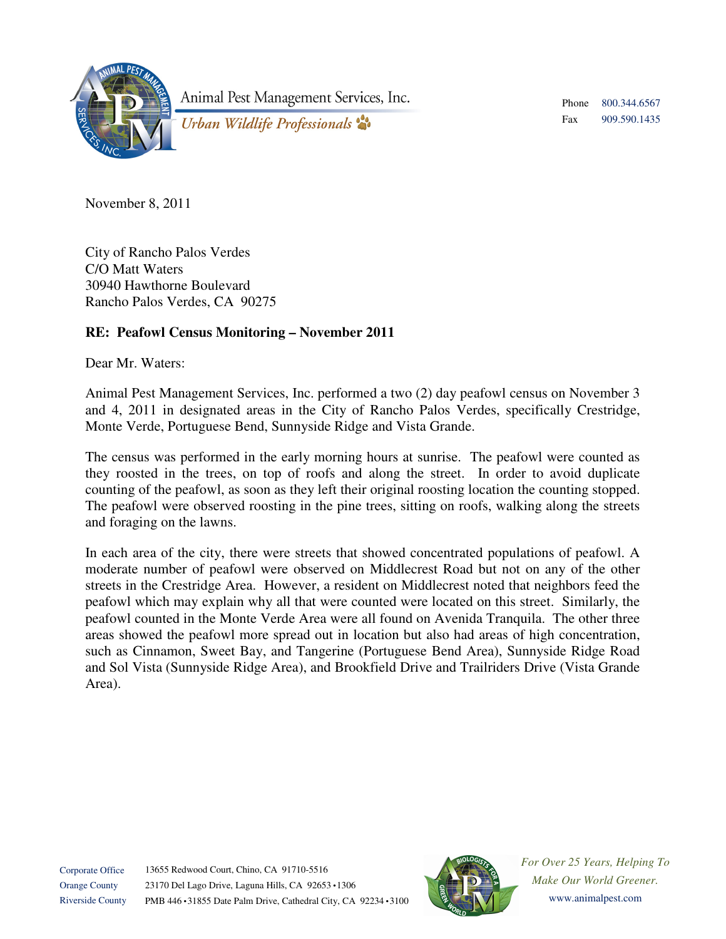

Animal Pest Management Services, Inc.

Phone Fax 800.344.6567 909.590.1435

Urban Wildlife Professionals

November 8, 2011

City of Rancho Palos Verdes C/O Matt Waters 30940 Hawthorne Boulevard Rancho Palos Verdes, CA 90275

## **RE: Peafowl Census Monitoring – November 2011**

Dear Mr. Waters:

Animal Pest Management Services, Inc. performed a two (2) day peafowl census on November 3 and 4, 2011 in designated areas in the City of Rancho Palos Verdes, specifically Crestridge, Monte Verde, Portuguese Bend, Sunnyside Ridge and Vista Grande.

The census was performed in the early morning hours at sunrise. The peafowl were counted as they roosted in the trees, on top of roofs and along the street. In order to avoid duplicate counting of the peafowl, as soon as they left their original roosting location the counting stopped. The peafowl were observed roosting in the pine trees, sitting on roofs, walking along the streets and foraging on the lawns.

In each area of the city, there were streets that showed concentrated populations of peafowl. A moderate number of peafowl were observed on Middlecrest Road but not on any of the other streets in the Crestridge Area. However, a resident on Middlecrest noted that neighbors feed the peafowl which may explain why all that were counted were located on this street. Similarly, the peafowl counted in the Monte Verde Area were all found on Avenida Tranquila. The other three areas showed the peafowl more spread out in location but also had areas of high concentration, such as Cinnamon, Sweet Bay, and Tangerine (Portuguese Bend Area), Sunnyside Ridge Road and Sol Vista (Sunnyside Ridge Area), and Brookfield Drive and Trailriders Drive (Vista Grande Area).



*For Over 25 Years, Helping To Make Our World Greener.*  www.animalpest.com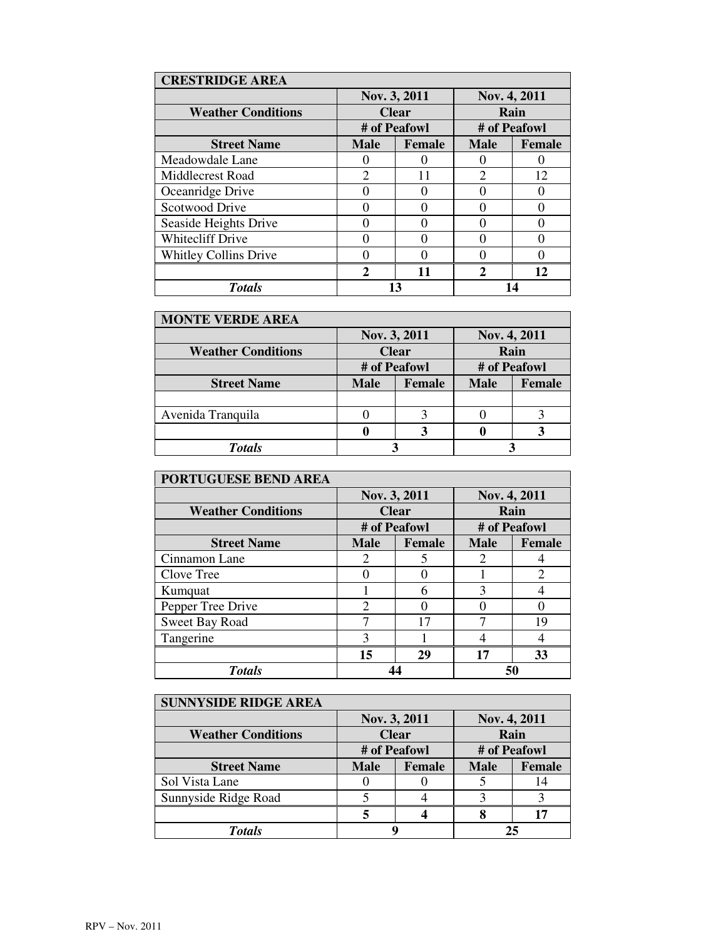| <b>CRESTRIDGE AREA</b>       |                             |               |                             |               |
|------------------------------|-----------------------------|---------------|-----------------------------|---------------|
|                              | Nov. 3, 2011                |               | Nov. 4, 2011                |               |
| <b>Weather Conditions</b>    | <b>Clear</b>                |               | Rain                        |               |
|                              | # of Peafowl                |               | # of Peafowl                |               |
| <b>Street Name</b>           | <b>Male</b>                 | <b>Female</b> | <b>Male</b>                 | <b>Female</b> |
| Meadowdale Lane              |                             |               |                             |               |
| Middlecrest Road             | $\overline{c}$              | 11            | $\mathcal{D}_{\mathcal{A}}$ | 12            |
| Oceanridge Drive             |                             |               |                             |               |
| Scotwood Drive               |                             | ∩             |                             |               |
| Seaside Heights Drive        |                             | ∩             |                             |               |
| <b>Whitecliff Drive</b>      |                             |               |                             |               |
| <b>Whitley Collins Drive</b> |                             |               |                             |               |
|                              | $\mathcal{D}_{\mathcal{L}}$ | 11            | $\mathcal{P}$               | 12            |
| <b>Totals</b>                |                             |               |                             |               |

| <b>MONTE VERDE AREA</b>   |              |               |              |               |  |
|---------------------------|--------------|---------------|--------------|---------------|--|
|                           | Nov. 3, 2011 |               | Nov. 4, 2011 |               |  |
| <b>Weather Conditions</b> | <b>Clear</b> |               | Rain         |               |  |
|                           | # of Peafowl |               | # of Peafowl |               |  |
| <b>Street Name</b>        | <b>Male</b>  | <b>Female</b> | <b>Male</b>  | <b>Female</b> |  |
|                           |              |               |              |               |  |
| Avenida Tranquila         |              |               |              |               |  |
|                           |              |               |              |               |  |
| <b>Totals</b>             |              |               |              |               |  |

| <b>PORTUGUESE BEND AREA</b> |                |               |              |               |  |
|-----------------------------|----------------|---------------|--------------|---------------|--|
|                             | Nov. 3, 2011   |               | Nov. 4, 2011 |               |  |
| <b>Weather Conditions</b>   | <b>Clear</b>   |               | Rain         |               |  |
|                             | # of Peafowl   |               | # of Peafowl |               |  |
| <b>Street Name</b>          | <b>Male</b>    | <b>Female</b> | <b>Male</b>  | <b>Female</b> |  |
| Cinnamon Lane               | 2              | 5             | 2            |               |  |
| Clove Tree                  |                |               |              | $\mathcal{D}$ |  |
| Kumquat                     |                | 6             | 3            |               |  |
| Pepper Tree Drive           | $\mathfrak{D}$ | $\Omega$      |              |               |  |
| Sweet Bay Road              |                | 17            |              | 19            |  |
| Tangerine                   | 3              |               |              |               |  |
|                             | 15             | 29            | 17           | 33            |  |
| <b>Totals</b>               |                |               | 50           |               |  |

| <b>SUNNYSIDE RIDGE AREA</b> |              |               |              |               |
|-----------------------------|--------------|---------------|--------------|---------------|
|                             | Nov. 3, 2011 |               | Nov. 4, 2011 |               |
| <b>Weather Conditions</b>   | <b>Clear</b> |               | Rain         |               |
|                             | # of Peafowl |               | # of Peafowl |               |
| <b>Street Name</b>          | <b>Male</b>  | <b>Female</b> | <b>Male</b>  | <b>Female</b> |
| Sol Vista Lane              |              |               |              | 14            |
| Sunnyside Ridge Road        |              |               |              |               |
|                             |              |               |              | 17            |
| <b>Totals</b>               |              |               | 25           |               |